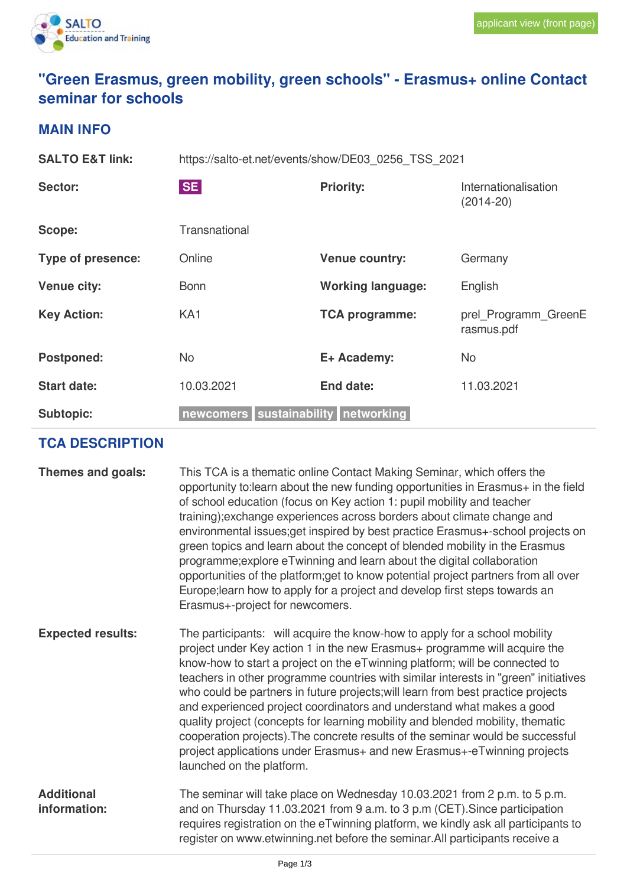

# **"Green Erasmus, green mobility, green schools" - Erasmus+ online Contact seminar for schools**

#### **MAIN INFO**

| <b>SALTO E&amp;T link:</b> | https://salto-et.net/events/show/DE03 0256 TSS 2021 |                          |                                    |
|----------------------------|-----------------------------------------------------|--------------------------|------------------------------------|
| Sector:                    | <b>SE</b>                                           | <b>Priority:</b>         | Internationalisation<br>(2014-20)  |
| Scope:                     | Transnational                                       |                          |                                    |
| <b>Type of presence:</b>   | Online                                              | <b>Venue country:</b>    | Germany                            |
| <b>Venue city:</b>         | <b>Bonn</b>                                         | <b>Working language:</b> | English                            |
| <b>Key Action:</b>         | KA <sub>1</sub>                                     | <b>TCA programme:</b>    | prel_Programm_GreenE<br>rasmus.pdf |
| Postponed:                 | <b>No</b>                                           | E+ Academy:              | <b>No</b>                          |
| <b>Start date:</b>         | 10.03.2021                                          | End date:                | 11.03.2021                         |
| <b>Subtopic:</b>           | newcomers sustainability networking                 |                          |                                    |

## **TCA DESCRIPTION**

| Themes and goals:                 | This TCA is a thematic online Contact Making Seminar, which offers the<br>opportunity to: learn about the new funding opportunities in Erasmus+ in the field<br>of school education (focus on Key action 1: pupil mobility and teacher<br>training); exchange experiences across borders about climate change and<br>environmental issues; get inspired by best practice Erasmus+-school projects on<br>green topics and learn about the concept of blended mobility in the Erasmus<br>programme; explore eTwinning and learn about the digital collaboration<br>opportunities of the platform; get to know potential project partners from all over<br>Europe; learn how to apply for a project and develop first steps towards an<br>Erasmus+-project for newcomers. |
|-----------------------------------|------------------------------------------------------------------------------------------------------------------------------------------------------------------------------------------------------------------------------------------------------------------------------------------------------------------------------------------------------------------------------------------------------------------------------------------------------------------------------------------------------------------------------------------------------------------------------------------------------------------------------------------------------------------------------------------------------------------------------------------------------------------------|
| <b>Expected results:</b>          | The participants: will acquire the know-how to apply for a school mobility<br>project under Key action 1 in the new Erasmus+ programme will acquire the<br>know-how to start a project on the eTwinning platform; will be connected to<br>teachers in other programme countries with similar interests in "green" initiatives<br>who could be partners in future projects; will learn from best practice projects<br>and experienced project coordinators and understand what makes a good<br>quality project (concepts for learning mobility and blended mobility, thematic<br>cooperation projects). The concrete results of the seminar would be successful<br>project applications under Erasmus+ and new Erasmus+-eTwinning projects<br>launched on the platform. |
| <b>Additional</b><br>information: | The seminar will take place on Wednesday 10.03.2021 from 2 p.m. to 5 p.m.<br>and on Thursday 11.03.2021 from 9 a.m. to 3 p.m (CET). Since participation<br>requires registration on the eTwinning platform, we kindly ask all participants to<br>register on www.etwinning.net before the seminar.All participants receive a                                                                                                                                                                                                                                                                                                                                                                                                                                           |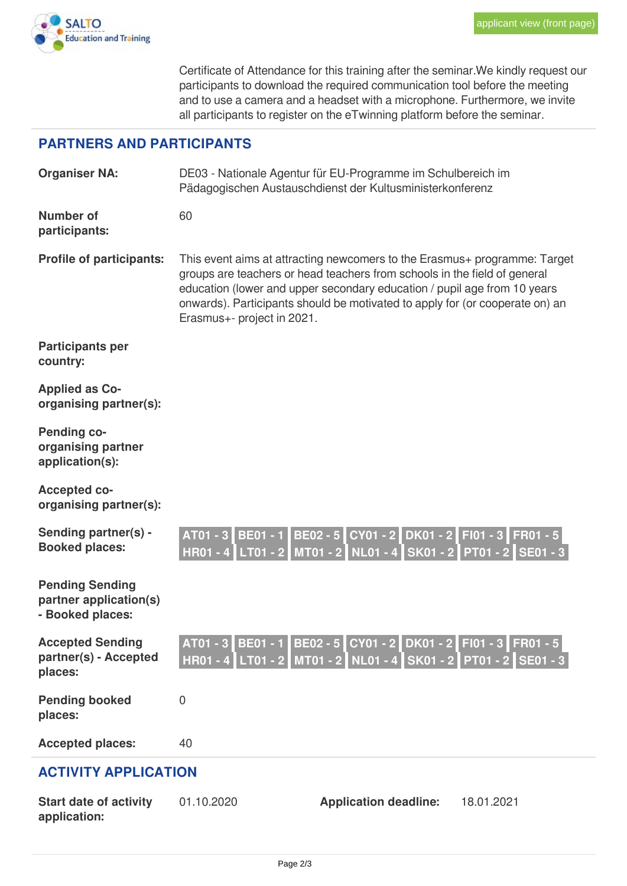

Certificate of Attendance for this training after the seminar.We kindly request our participants to download the required communication tool before the meeting and to use a camera and a headset with a microphone. Furthermore, we invite all participants to register on the eTwinning platform before the seminar.

## **PARTNERS AND PARTICIPANTS**

|                                                                      | Pädagogischen Austauschdienst der Kultusministerkonferenz     |                                                                                                                                                                                                                                                                                                                    |                   |  |
|----------------------------------------------------------------------|---------------------------------------------------------------|--------------------------------------------------------------------------------------------------------------------------------------------------------------------------------------------------------------------------------------------------------------------------------------------------------------------|-------------------|--|
| <b>Number of</b><br>participants:                                    | 60                                                            |                                                                                                                                                                                                                                                                                                                    |                   |  |
| Profile of participants:                                             | Erasmus+- project in 2021.                                    | This event aims at attracting newcomers to the Erasmus+ programme: Target<br>groups are teachers or head teachers from schools in the field of general<br>education (lower and upper secondary education / pupil age from 10 years<br>onwards). Participants should be motivated to apply for (or cooperate on) an |                   |  |
| <b>Participants per</b><br>country:                                  |                                                               |                                                                                                                                                                                                                                                                                                                    |                   |  |
| <b>Applied as Co-</b><br>organising partner(s):                      |                                                               |                                                                                                                                                                                                                                                                                                                    |                   |  |
| <b>Pending co-</b><br>organising partner<br>application(s):          |                                                               |                                                                                                                                                                                                                                                                                                                    |                   |  |
| <b>Accepted co-</b><br>organising partner(s):                        |                                                               |                                                                                                                                                                                                                                                                                                                    |                   |  |
| Sending partner(s) -<br><b>Booked places:</b>                        | AT01 - 3<br><b>BE01 - 1</b><br><b>HR01 - 4</b><br>$LT01 - 21$ | BE02 - 5 CY01 - 2 DK01 - 2<br>MT01 - 2 NL01 - 4 SK01 - 2 PT01 - 2 SE01 - 3                                                                                                                                                                                                                                         | FI01 - 3 FR01 - 5 |  |
| <b>Pending Sending</b><br>partner application(s)<br>- Booked places: |                                                               |                                                                                                                                                                                                                                                                                                                    |                   |  |
| <b>Accepted Sending</b><br>partner(s) - Accepted<br>places:          | AT01 - 3<br><b>BE01 - 1</b>                                   | BE02 - 5 CY01 - 2 DK01 - 2<br>HR01 - 4 LT01 - 2 MT01 - 2 NL01 - 4 SK01 - 2 PT01 - 2 SE01 - 3                                                                                                                                                                                                                       | FI01 - 3 FR01 - 5 |  |
| <b>Pending booked</b><br>places:                                     | 0                                                             |                                                                                                                                                                                                                                                                                                                    |                   |  |
| <b>Accepted places:</b>                                              | 40                                                            |                                                                                                                                                                                                                                                                                                                    |                   |  |
| <b>ACTIVITY APPLICATION</b>                                          |                                                               |                                                                                                                                                                                                                                                                                                                    |                   |  |
| <b>Start date of activity</b><br>application:                        | 01.10.2020                                                    | <b>Application deadline:</b>                                                                                                                                                                                                                                                                                       | 18.01.2021        |  |

**Organiser NA:** DE03 - Nationale Agentur für EU-Programme im Schulbereich im